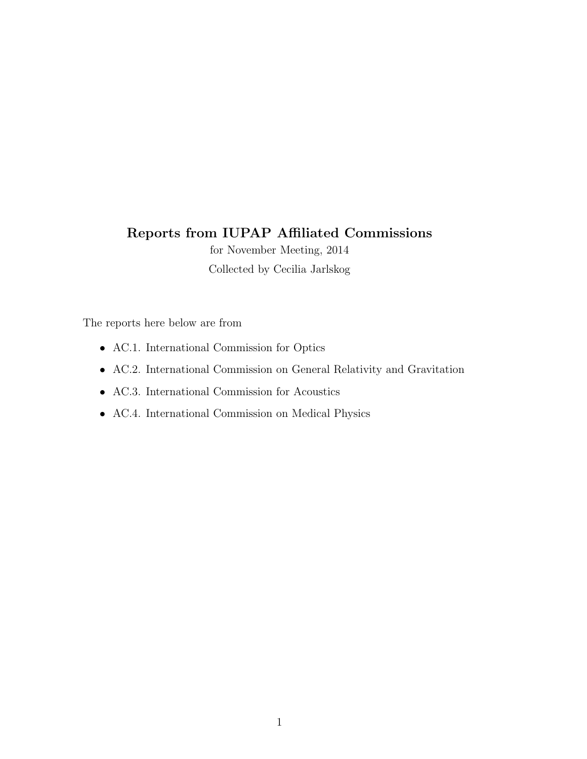# Reports from IUPAP Affiliated Commissions

for November Meeting, 2014 Collected by Cecilia Jarlskog

The reports here below are from

- AC.1. International Commission for Optics
- AC.2. International Commission on General Relativity and Gravitation
- AC.3. International Commission for Acoustics
- AC.4. International Commission on Medical Physics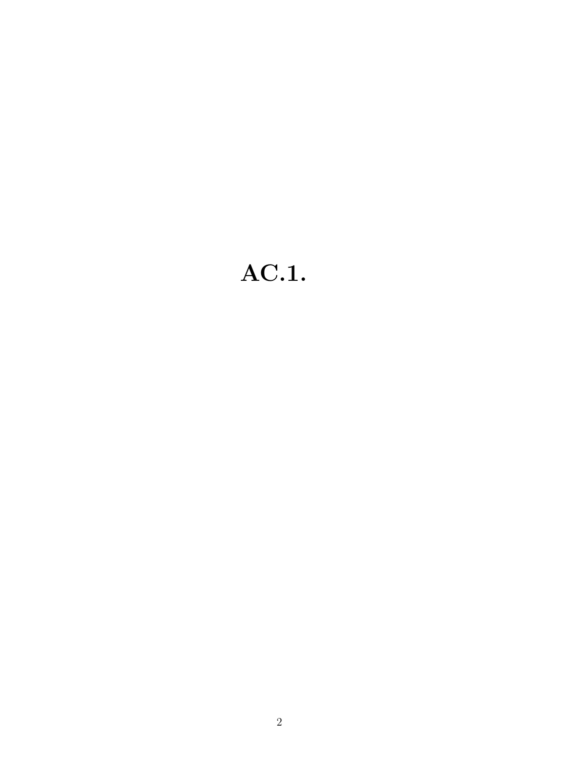# AC.1.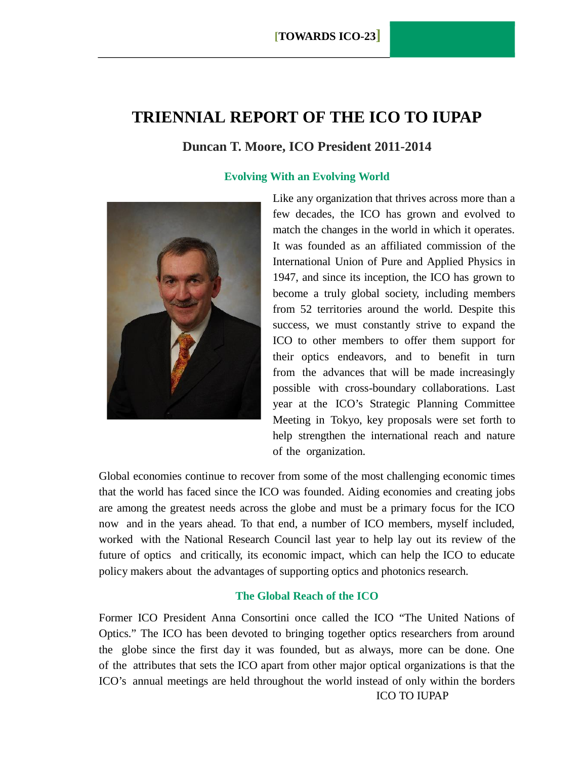# **TRIENNIAL REPORT OF THE ICO TO IUPAP**

### **Duncan T. Moore, ICO President 2011-2014**

#### **Evolving With an Evolving World**



Like any organization that thrives across more than a few decades, the ICO has grown and evolved to match the changes in the world in which it operates. It was founded as an affiliated commission of the International Union of Pure and Applied Physics in 1947, and since its inception, the ICO has grown to become a truly global society, including members from 52 territories around the world. Despite this success, we must constantly strive to expand the ICO to other members to offer them support for their optics endeavors, and to benefit in turn from the advances that will be made increasingly possible with cross-boundary collaborations. Last year at the ICO's Strategic Planning Committee Meeting in Tokyo, key proposals were set forth to help strengthen the international reach and nature of the organization.

Global economies continue to recover from some of the most challenging economic times that the world has faced since the ICO was founded. Aiding economies and creating jobs are among the greatest needs across the globe and must be a primary focus for the ICO now and in the years ahead. To that end, a number of ICO members, myself included, worked with the National Research Council last year to help lay out its review of the future of optics and critically, its economic impact, which can help the ICO to educate policy makers about the advantages of supporting optics and photonics research.

#### **The Global Reach of the ICO**

ICO TO IUPAP Former ICO President Anna Consortini once called the ICO "The United Nations of Optics." The ICO has been devoted to bringing together optics researchers from around the globe since the first day it was founded, but as always, more can be done. One of the attributes that sets the ICO apart from other major optical organizations is that the ICO's annual meetings are held throughout the world instead of only within the borders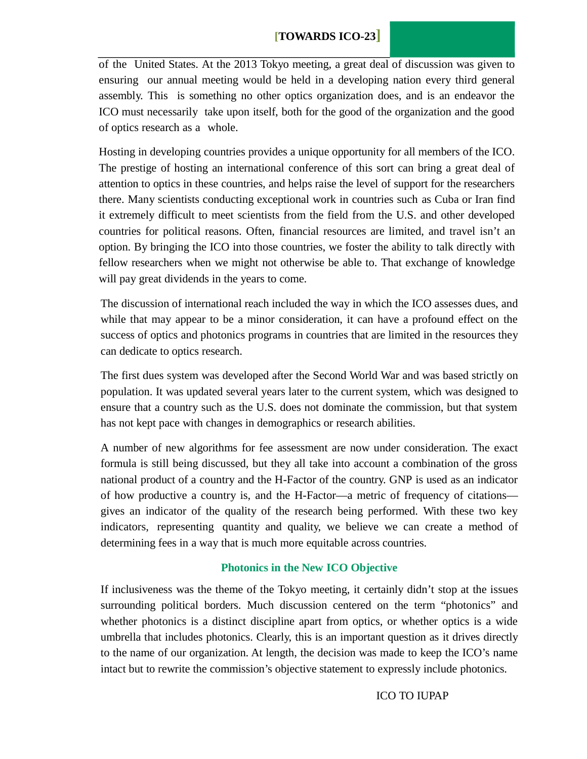### **[TOWARDS ICO-23]**

of the United States. At the 2013 Tokyo meeting, a great deal of discussion was given to ensuring our annual meeting would be held in a developing nation every third general assembly. This is something no other optics organization does, and is an endeavor the ICO must necessarily take upon itself, both for the good of the organization and the good of optics research as a whole.

Hosting in developing countries provides a unique opportunity for all members of the ICO. The prestige of hosting an international conference of this sort can bring a great deal of attention to optics in these countries, and helps raise the level of support for the researchers there. Many scientists conducting exceptional work in countries such as Cuba or Iran find it extremely difficult to meet scientists from the field from the U.S. and other developed countries for political reasons. Often, financial resources are limited, and travel isn't an option. By bringing the ICO into those countries, we foster the ability to talk directly with fellow researchers when we might not otherwise be able to. That exchange of knowledge will pay great dividends in the years to come.

The discussion of international reach included the way in which the ICO assesses dues, and while that may appear to be a minor consideration, it can have a profound effect on the success of optics and photonics programs in countries that are limited in the resources they can dedicate to optics research.

The first dues system was developed after the Second World War and was based strictly on population. It was updated several years later to the current system, which was designed to ensure that a country such as the U.S. does not dominate the commission, but that system has not kept pace with changes in demographics or research abilities.

A number of new algorithms for fee assessment are now under consideration. The exact formula is still being discussed, but they all take into account a combination of the gross national product of a country and the H-Factor of the country. GNP is used as an indicator of how productive a country is, and the H-Factor—a metric of frequency of citations gives an indicator of the quality of the research being performed. With these two key indicators, representing quantity and quality, we believe we can create a method of determining fees in a way that is much more equitable across countries.

#### **Photonics in the New ICO Objective**

If inclusiveness was the theme of the Tokyo meeting, it certainly didn't stop at the issues surrounding political borders. Much discussion centered on the term "photonics" and whether photonics is a distinct discipline apart from optics, or whether optics is a wide umbrella that includes photonics. Clearly, this is an important question as it drives directly to the name of our organization. At length, the decision was made to keep the ICO's name intact but to rewrite the commission's objective statement to expressly include photonics.

#### ICO TO IUPAP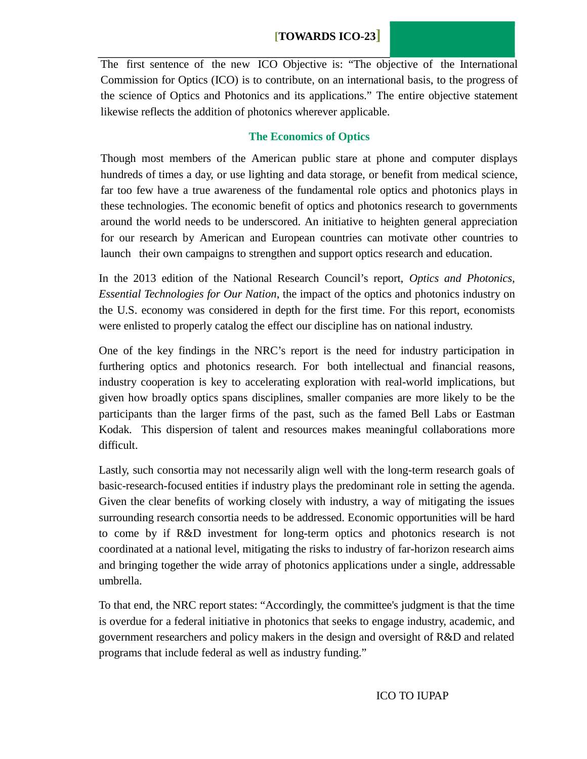# **[TOWARDS ICO-23]**

The first sentence of the new ICO Objective is: "The objective of the International Commission for Optics (ICO) is to contribute, on an international basis, to the progress of the science of Optics and Photonics and its applications." The entire objective statement likewise reflects the addition of photonics wherever applicable.

### **The Economics of Optics**

Though most members of the American public stare at phone and computer displays hundreds of times a day, or use lighting and data storage, or benefit from medical science, far too few have a true awareness of the fundamental role optics and photonics plays in these technologies. The economic benefit of optics and photonics research to governments around the world needs to be underscored. An initiative to heighten general appreciation for our research by American and European countries can motivate other countries to launch their own campaigns to strengthen and support optics research and education.

In the 2013 edition of the National Research Council's report, *Optics and Photonics, Essential Technologies for Our Nation*, the impact of the optics and photonics industry on the U.S. economy was considered in depth for the first time. For this report, economists were enlisted to properly catalog the effect our discipline has on national industry.

One of the key findings in the NRC's report is the need for industry participation in furthering optics and photonics research. For both intellectual and financial reasons, industry cooperation is key to accelerating exploration with real-world implications, but given how broadly optics spans disciplines, smaller companies are more likely to be the participants than the larger firms of the past, such as the famed Bell Labs or Eastman Kodak. This dispersion of talent and resources makes meaningful collaborations more difficult.

Lastly, such consortia may not necessarily align well with the long-term research goals of basic-research-focused entities if industry plays the predominant role in setting the agenda. Given the clear benefits of working closely with industry, a way of mitigating the issues surrounding research consortia needs to be addressed. Economic opportunities will be hard to come by if R&D investment for long-term optics and photonics research is not coordinated at a national level, mitigating the risks to industry of far-horizon research aims and bringing together the wide array of photonics applications under a single, addressable umbrella.

To that end, the NRC report states: "Accordingly, the committee's judgment is that the time is overdue for a federal initiative in photonics that seeks to engage industry, academic, and government researchers and policy makers in the design and oversight of R&D and related programs that include federal as well as industry funding."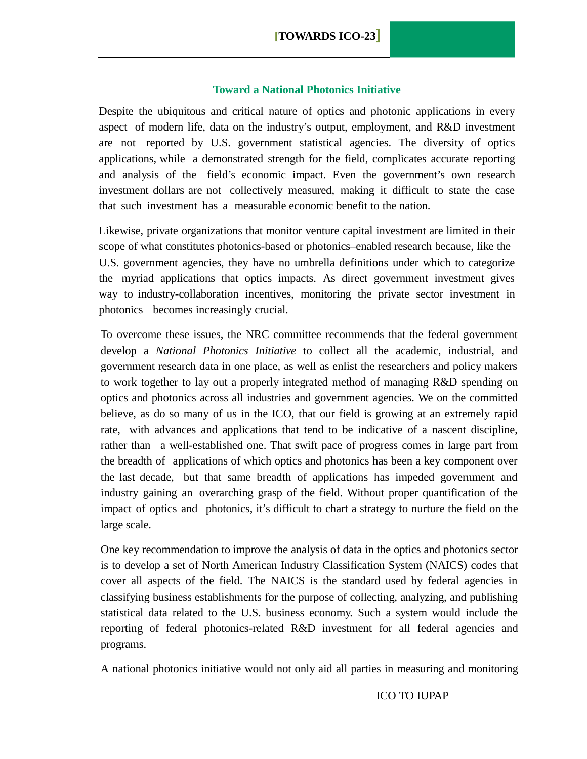#### **Toward a National Photonics Initiative**

Despite the ubiquitous and critical nature of optics and photonic applications in every aspect of modern life, data on the industry's output, employment, and R&D investment are not reported by U.S. government statistical agencies. The diversity of optics applications, while a demonstrated strength for the field, complicates accurate reporting and analysis of the field's economic impact. Even the government's own research investment dollars are not collectively measured, making it difficult to state the case that such investment has a measurable economic benefit to the nation.

Likewise, private organizations that monitor venture capital investment are limited in their scope of what constitutes photonics-based or photonics–enabled research because, like the U.S. government agencies, they have no umbrella definitions under which to categorize the myriad applications that optics impacts. As direct government investment gives way to industry-collaboration incentives, monitoring the private sector investment in photonics becomes increasingly crucial.

To overcome these issues, the NRC committee recommends that the federal government develop a *National Photonics Initiative* to collect all the academic, industrial, and government research data in one place, as well as enlist the researchers and policy makers to work together to lay out a properly integrated method of managing R&D spending on optics and photonics across all industries and government agencies. We on the committed believe, as do so many of us in the ICO, that our field is growing at an extremely rapid rate, with advances and applications that tend to be indicative of a nascent discipline, rather than a well-established one. That swift pace of progress comes in large part from the breadth of applications of which optics and photonics has been a key component over the last decade, but that same breadth of applications has impeded government and industry gaining an overarching grasp of the field. Without proper quantification of the impact of optics and photonics, it's difficult to chart a strategy to nurture the field on the large scale.

One key recommendation to improve the analysis of data in the optics and photonics sector is to develop a set of North American Industry Classification System (NAICS) codes that cover all aspects of the field. The NAICS is the standard used by federal agencies in classifying business establishments for the purpose of collecting, analyzing, and publishing statistical data related to the U.S. business economy. Such a system would include the reporting of federal photonics-related R&D investment for all federal agencies and programs.

A national photonics initiative would not only aid all parties in measuring and monitoring

ICO TO IUPAP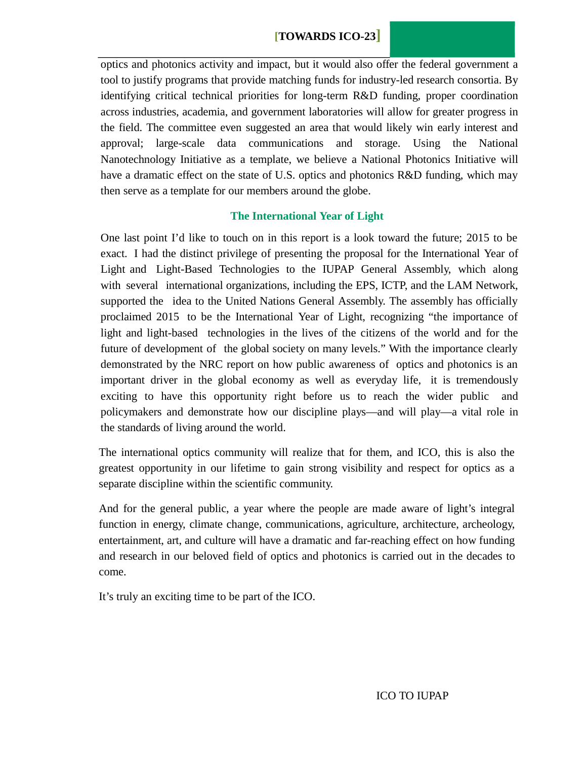# **[TOWARDS ICO-23]**

optics and photonics activity and impact, but it would also offer the federal government a tool to justify programs that provide matching funds for industry-led research consortia. By identifying critical technical priorities for long-term R&D funding, proper coordination across industries, academia, and government laboratories will allow for greater progress in the field. The committee even suggested an area that would likely win early interest and approval; large-scale data communications and storage. Using the National Nanotechnology Initiative as a template, we believe a National Photonics Initiative will have a dramatic effect on the state of U.S. optics and photonics R&D funding, which may then serve as a template for our members around the globe.

#### **The International Year of Light**

One last point I'd like to touch on in this report is a look toward the future; 2015 to be exact. I had the distinct privilege of presenting the proposal for the International Year of Light and Light-Based Technologies to the IUPAP General Assembly, which along with several international organizations, including the EPS, ICTP, and the LAM Network, supported the idea to the United Nations General Assembly. The assembly has officially proclaimed 2015 to be the International Year of Light, recognizing "the importance of light and light-based technologies in the lives of the citizens of the world and for the future of development of the global society on many levels." With the importance clearly demonstrated by the NRC report on how public awareness of optics and photonics is an important driver in the global economy as well as everyday life, it is tremendously exciting to have this opportunity right before us to reach the wider public and policymakers and demonstrate how our discipline plays—and will play—a vital role in the standards of living around the world.

The international optics community will realize that for them, and ICO, this is also the greatest opportunity in our lifetime to gain strong visibility and respect for optics as a separate discipline within the scientific community.

And for the general public, a year where the people are made aware of light's integral function in energy, climate change, communications, agriculture, architecture, archeology, entertainment, art, and culture will have a dramatic and far-reaching effect on how funding and research in our beloved field of optics and photonics is carried out in the decades to come.

It's truly an exciting time to be part of the ICO.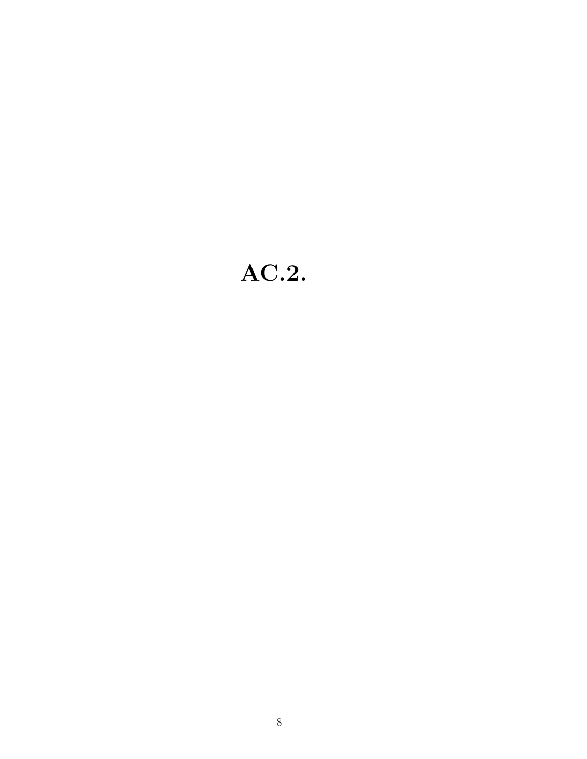# AC.2.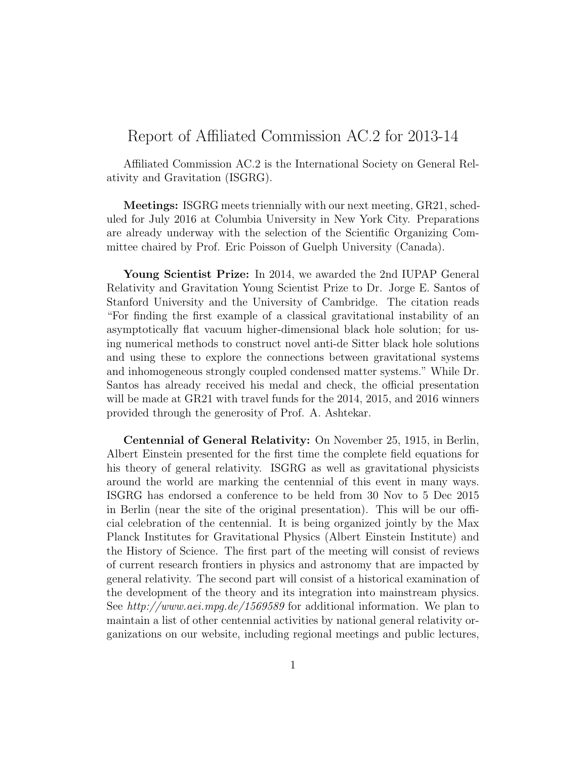# Report of Affiliated Commission AC.2 for 2013-14

Affiliated Commission AC.2 is the International Society on General Relativity and Gravitation (ISGRG).

Meetings: ISGRG meets triennially with our next meeting, GR21, scheduled for July 2016 at Columbia University in New York City. Preparations are already underway with the selection of the Scientific Organizing Committee chaired by Prof. Eric Poisson of Guelph University (Canada).

Young Scientist Prize: In 2014, we awarded the 2nd IUPAP General Relativity and Gravitation Young Scientist Prize to Dr. Jorge E. Santos of Stanford University and the University of Cambridge. The citation reads "For finding the first example of a classical gravitational instability of an asymptotically flat vacuum higher-dimensional black hole solution; for using numerical methods to construct novel anti-de Sitter black hole solutions and using these to explore the connections between gravitational systems and inhomogeneous strongly coupled condensed matter systems." While Dr. Santos has already received his medal and check, the official presentation will be made at GR21 with travel funds for the 2014, 2015, and 2016 winners provided through the generosity of Prof. A. Ashtekar.

Centennial of General Relativity: On November 25, 1915, in Berlin, Albert Einstein presented for the first time the complete field equations for his theory of general relativity. ISGRG as well as gravitational physicists around the world are marking the centennial of this event in many ways. ISGRG has endorsed a conference to be held from 30 Nov to 5 Dec 2015 in Berlin (near the site of the original presentation). This will be our official celebration of the centennial. It is being organized jointly by the Max Planck Institutes for Gravitational Physics (Albert Einstein Institute) and the History of Science. The first part of the meeting will consist of reviews of current research frontiers in physics and astronomy that are impacted by general relativity. The second part will consist of a historical examination of the development of the theory and its integration into mainstream physics. See http://www.aei.mpg.de/1569589 for additional information. We plan to maintain a list of other centennial activities by national general relativity organizations on our website, including regional meetings and public lectures,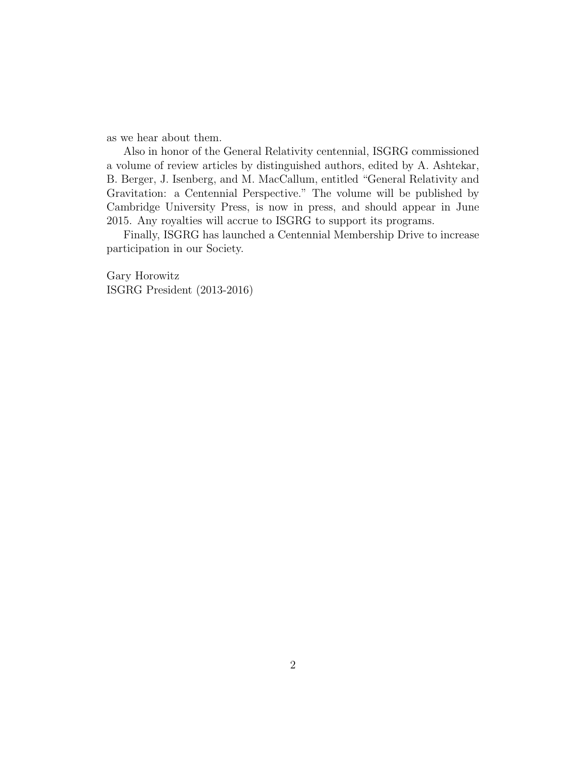as we hear about them.

Also in honor of the General Relativity centennial, ISGRG commissioned a volume of review articles by distinguished authors, edited by A. Ashtekar, B. Berger, J. Isenberg, and M. MacCallum, entitled "General Relativity and Gravitation: a Centennial Perspective." The volume will be published by Cambridge University Press, is now in press, and should appear in June 2015. Any royalties will accrue to ISGRG to support its programs.

Finally, ISGRG has launched a Centennial Membership Drive to increase participation in our Society.

Gary Horowitz ISGRG President (2013-2016)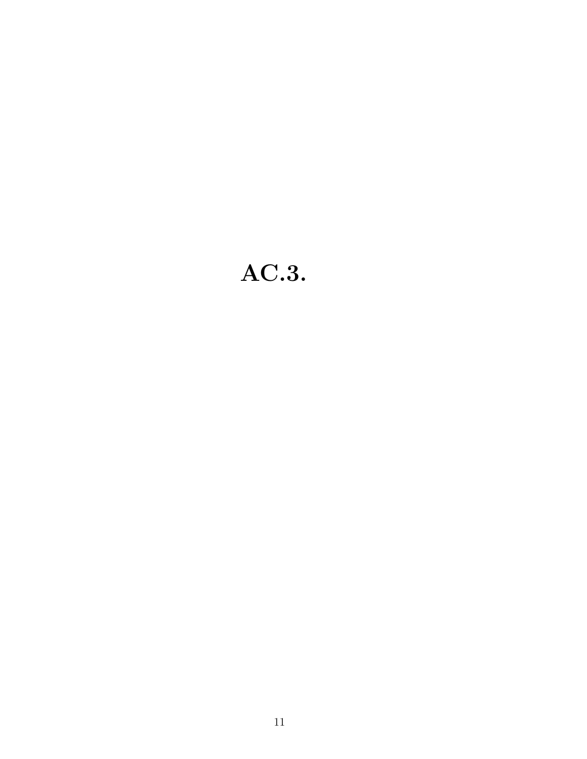# AC.3.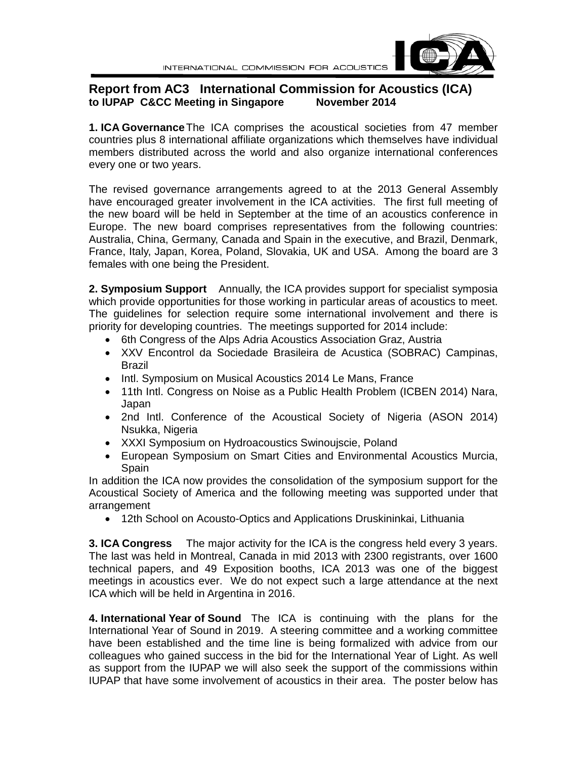## **Report from AC3 International Commission for Acoustics (ICA) to IUPAP C&CC Meeting in Singapore**

**1. ICA Governance**The ICA comprises the acoustical societies from 47 member countries plus 8 international affiliate organizations which themselves have individual members distributed across the world and also organize international conferences every one or two years.

The revised governance arrangements agreed to at the 2013 General Assembly have encouraged greater involvement in the ICA activities. The first full meeting of the new board will be held in September at the time of an acoustics conference in Europe. The new board comprises representatives from the following countries: Australia, China, Germany, Canada and Spain in the executive, and Brazil, Denmark, France, Italy, Japan, Korea, Poland, Slovakia, UK and USA. Among the board are 3 females with one being the President.

**2. Symposium Support** Annually, the ICA provides support for specialist symposia which provide opportunities for those working in particular areas of acoustics to meet. The guidelines for selection require some international involvement and there is priority for developing countries. The meetings supported for 2014 include:

- 6th Congress of the Alps Adria Acoustics Association Graz, Austria
- XXV Encontrol da Sociedade Brasileira de Acustica (SOBRAC) Campinas, Brazil
- Intl. Symposium on Musical Acoustics 2014 Le Mans, France
- 11th Intl. Congress on Noise as a Public Health Problem (ICBEN 2014) Nara, Japan
- 2nd Intl. Conference of the Acoustical Society of Nigeria (ASON 2014) Nsukka, Nigeria
- XXXI Symposium on Hydroacoustics Swinoujscie, Poland
- European Symposium on Smart Cities and Environmental Acoustics Murcia, Spain

In addition the ICA now provides the consolidation of the symposium support for the Acoustical Society of America and the following meeting was supported under that arrangement

• 12th School on Acousto-Optics and Applications Druskininkai, Lithuania

**3. ICA Congress** The major activity for the ICA is the congress held every 3 years. The last was held in Montreal, Canada in mid 2013 with 2300 registrants, over 1600 technical papers, and 49 Exposition booths, ICA 2013 was one of the biggest meetings in acoustics ever. We do not expect such a large attendance at the next ICA which will be held in Argentina in 2016.

**4. International Year of Sound** The ICA is continuing with the plans for the International Year of Sound in 2019. A steering committee and a working committee have been established and the time line is being formalized with advice from our colleagues who gained success in the bid for the International Year of Light. As well as support from the IUPAP we will also seek the support of the commissions within IUPAP that have some involvement of acoustics in their area. The poster below has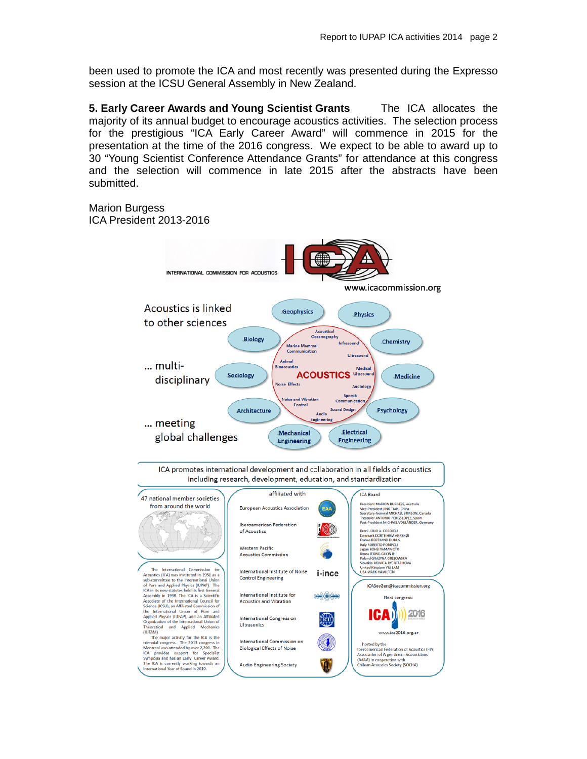been used to promote the ICA and most recently was presented during the Expresso session at the ICSU General Assembly in New Zealand.

**5. Early Career Awards and Young Scientist Grants** The ICA allocates the majority of its annual budget to encourage acoustics activities. The selection process for the prestigious "ICA Early Career Award" will commence in 2015 for the presentation at the time of the 2016 congress. We expect to be able to award up to 30 "Young Scientist Conference Attendance Grants" for attendance at this congress and the selection will commence in late 2015 after the abstracts have been submitted.

Marion Burgess ICA President 2013-2016



ICA promotes international development and collaboration in all fields of acoustics including research, development, education, and standardization

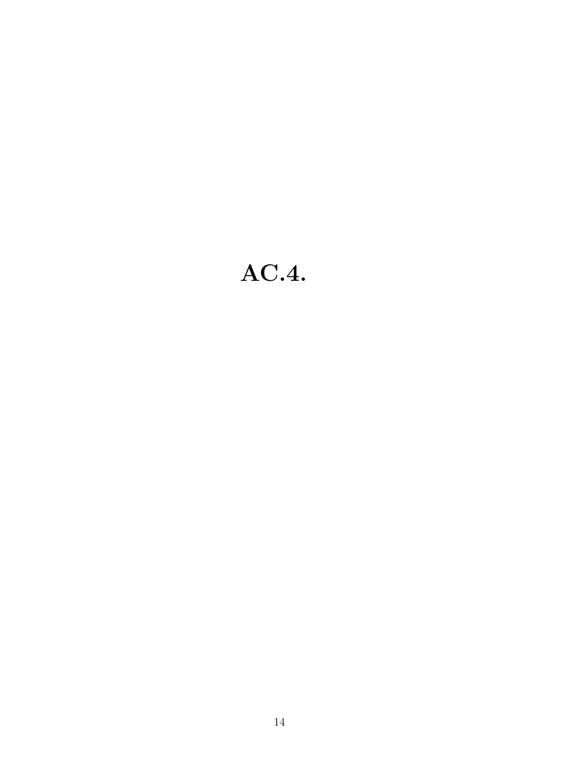# AC.4.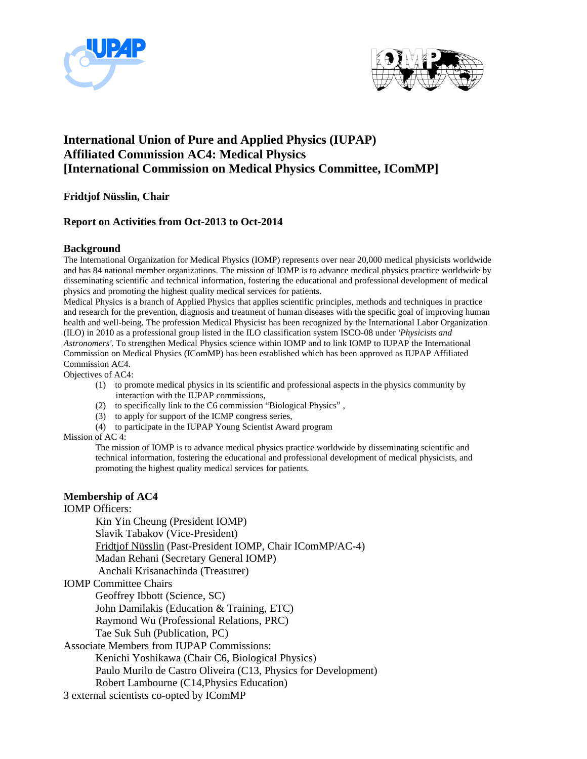



# **International Union of Pure and Applied Physics (IUPAP) Affiliated Commission AC4: Medical Physics [International Commission on Medical Physics Committee, IComMP]**

**Fridtjof Nüsslin, Chair**

#### **Report on Activities from Oct-2013 to Oct-2014**

#### **Background**

The International Organization for Medical Physics (IOMP) represents over near 20,000 medical physicists worldwide and has 84 national member organizations. The mission of IOMP is to advance medical physics practice worldwide by disseminating scientific and technical information, fostering the educational and professional development of medical physics and promoting the highest quality medical services for patients.

Medical Physics is a branch of Applied Physics that applies scientific principles, methods and techniques in practice and research for the prevention, diagnosis and treatment of human diseases with the specific goal of improving human health and well-being. The profession Medical Physicist has been recognized by the International Labor Organization (ILO) in 2010 as a professional group listed in the ILO classification system ISCO-08 under *'Physicists and Astronomers'*. To strengthen Medical Physics science within IOMP and to link IOMP to IUPAP the International Commission on Medical Physics (IComMP) has been established which has been approved as IUPAP Affiliated Commission AC4.

Objectives of AC4:

- (1) to promote medical physics in its scientific and professional aspects in the physics community by interaction with the IUPAP commissions,
- (2) to specifically link to the C6 commission "Biological Physics" ,
- (3) to apply for support of the ICMP congress series,
- (4) to participate in the IUPAP Young Scientist Award program

#### Mission of AC 4:

The mission of IOMP is to advance medical physics practice worldwide by disseminating scientific and technical information, fostering the educational and professional development of medical physicists, and promoting the highest quality medical services for patients.

#### **Membership of AC4**

IOMP Officers:

Kin Yin Cheung (President IOMP) Slavik Tabakov (Vice-President) Fridtjof Nüsslin (Past-President IOMP, Chair IComMP/AC-4) Madan Rehani (Secretary General IOMP) Anchali Krisanachinda (Treasurer)

IOMP Committee Chairs

Geoffrey Ibbott (Science, SC)

John Damilakis (Education & Training, ETC)

Raymond Wu (Professional Relations, PRC)

Tae Suk Suh (Publication, PC)

Associate Members from IUPAP Commissions:

Kenichi Yoshikawa (Chair C6, Biological Physics)

Paulo Murilo de Castro Oliveira (C13, Physics for Development)

Robert Lambourne (C14,Physics Education)

3 external scientists co-opted by IComMP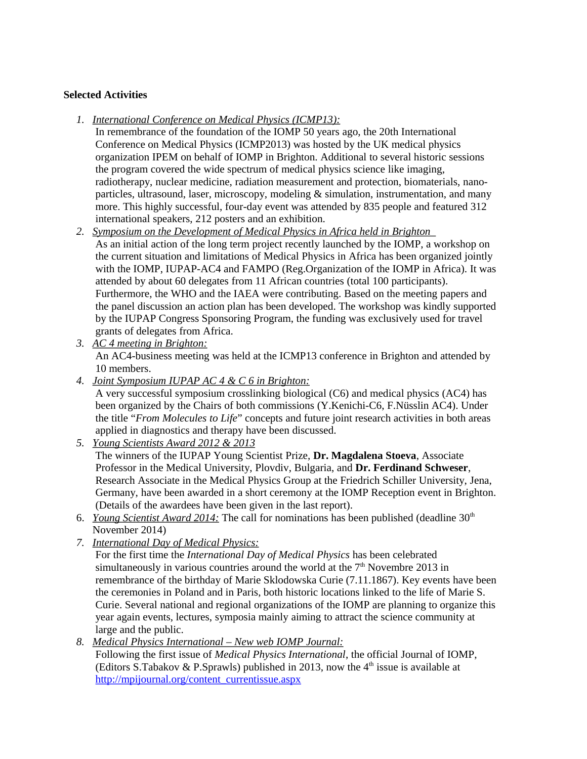#### **Selected Activities**

- *1. International Conference on Medical Physics (ICMP13):*
	- In remembrance of the foundation of the IOMP 50 years ago, the 20th International Conference on Medical Physics (ICMP2013) was hosted by the UK medical physics organization IPEM on behalf of IOMP in Brighton. Additional to several historic sessions the program covered the wide spectrum of medical physics science like imaging, radiotherapy, nuclear medicine, radiation measurement and protection, biomaterials, nanoparticles, ultrasound, laser, microscopy, modeling & simulation, instrumentation, and many more. This highly successful, four-day event was attended by 835 people and featured 312 international speakers, 212 posters and an exhibition.
- 2. Symposium on the Development of Medical Physics in Africa held in Brighton As an initial action of the long term project recently launched by the IOMP, a workshop on the current situation and limitations of Medical Physics in Africa has been organized jointly with the IOMP, IUPAP-AC4 and FAMPO (Reg.Organization of the IOMP in Africa). It was attended by about 60 delegates from 11 African countries (total 100 participants). Furthermore, the WHO and the IAEA were contributing. Based on the meeting papers and the panel discussion an action plan has been developed. The workshop was kindly supported by the IUPAP Congress Sponsoring Program, the funding was exclusively used for travel grants of delegates from Africa.
- *3. AC 4 meeting in Brighton:* An AC4-business meeting was held at the ICMP13 conference in Brighton and attended by 10 members.
- *4. Joint Symposium IUPAP AC 4 & C 6 in Brighton:* A very successful symposium crosslinking biological (C6) and medical physics (AC4) has been organized by the Chairs of both commissions (Y.Kenichi-C6, F.Nüsslin AC4). Under the title "*From Molecules to Life*" concepts and future joint research activities in both areas applied in diagnostics and therapy have been discussed.
- *5. Young Scientists Award 2012 & 2013* The winners of the IUPAP Young Scientist Prize, **Dr. Magdalena Stoeva**, Associate Professor in the Medical University, Plovdiv, Bulgaria, and **Dr. Ferdinand Schweser**, Research Associate in the Medical Physics Group at the Friedrich Schiller University, Jena, Germany, have been awarded in a short ceremony at the IOMP Reception event in Brighton. (Details of the awardees have been given in the last report).
- 6. *Young Scientist Award 2014: The call for nominations has been published (deadline 30<sup>th</sup>)* November 2014)
- *7. International Day of Medical Physics:*

For the first time the *International Day of Medical Physics* has been celebrated simultaneously in various countries around the world at the  $7<sup>th</sup>$  Novembre 2013 in remembrance of the birthday of Marie Sklodowska Curie (7.11.1867). Key events have been the ceremonies in Poland and in Paris, both historic locations linked to the life of Marie S. Curie. Several national and regional organizations of the IOMP are planning to organize this year again events, lectures, symposia mainly aiming to attract the science community at large and the public.

*8. Medical Physics International – New web IOMP Journal:* Following the first issue of *Medical Physics International*, the official Journal of IOMP, (Editors S.Tabakov & P.Sprawls) published in 2013, now the  $4<sup>th</sup>$  issue is available at http://mpijournal.org/content\_currentissue.aspx